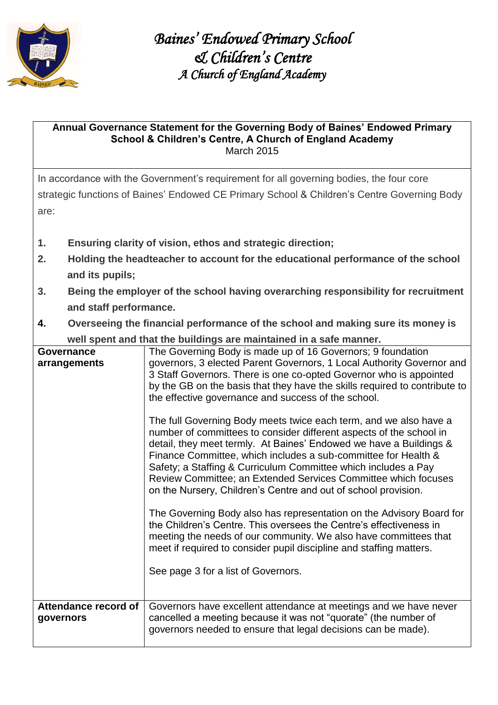

## **Annual Governance Statement for the Governing Body of Baines' Endowed Primary School & Children's Centre, A Church of England Academy**  March 2015

In accordance with the Government's requirement for all governing bodies, the four core strategic functions of Baines' Endowed CE Primary School & Children's Centre Governing Body are:

- **1. Ensuring clarity of vision, ethos and strategic direction;**
- **2. Holding the headteacher to account for the educational performance of the school and its pupils;**
- **3. Being the employer of the school having overarching responsibility for recruitment and staff performance.**
- **4. Overseeing the financial performance of the school and making sure its money is well spent and that the buildings are maintained in a safe manner.**

|                                   | wen opent and that the bundings are manitalited in a sale manner.                                                                                                                                                                                                                                                                                                                                                                                                                      |  |
|-----------------------------------|----------------------------------------------------------------------------------------------------------------------------------------------------------------------------------------------------------------------------------------------------------------------------------------------------------------------------------------------------------------------------------------------------------------------------------------------------------------------------------------|--|
| Governance                        | The Governing Body is made up of 16 Governors; 9 foundation                                                                                                                                                                                                                                                                                                                                                                                                                            |  |
| arrangements                      | governors, 3 elected Parent Governors, 1 Local Authority Governor and<br>3 Staff Governors. There is one co-opted Governor who is appointed<br>by the GB on the basis that they have the skills required to contribute to<br>the effective governance and success of the school.                                                                                                                                                                                                       |  |
|                                   | The full Governing Body meets twice each term, and we also have a<br>number of committees to consider different aspects of the school in<br>detail, they meet termly. At Baines' Endowed we have a Buildings &<br>Finance Committee, which includes a sub-committee for Health &<br>Safety; a Staffing & Curriculum Committee which includes a Pay<br>Review Committee; an Extended Services Committee which focuses<br>on the Nursery, Children's Centre and out of school provision. |  |
|                                   | The Governing Body also has representation on the Advisory Board for<br>the Children's Centre. This oversees the Centre's effectiveness in<br>meeting the needs of our community. We also have committees that<br>meet if required to consider pupil discipline and staffing matters.<br>See page 3 for a list of Governors.                                                                                                                                                           |  |
| Attendance record of<br>governors | Governors have excellent attendance at meetings and we have never<br>cancelled a meeting because it was not "quorate" (the number of<br>governors needed to ensure that legal decisions can be made).                                                                                                                                                                                                                                                                                  |  |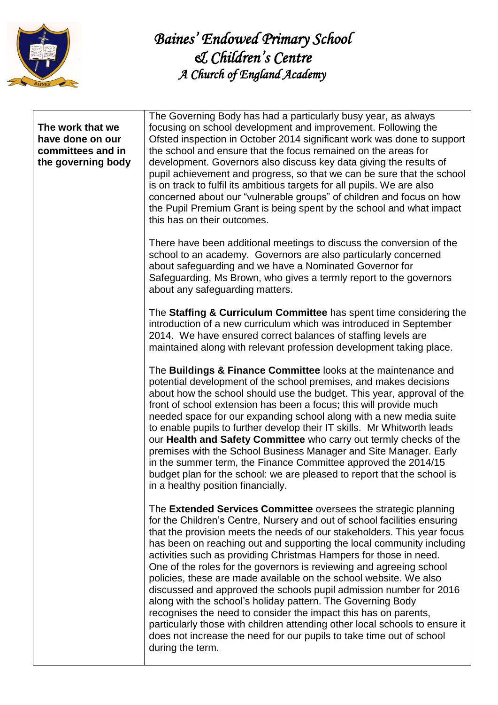

## **The work that we have done on our committees and in the governing body**

The Governing Body has had a particularly busy year, as always focusing on school development and improvement. Following the Ofsted inspection in October 2014 significant work was done to support the school and ensure that the focus remained on the areas for development. Governors also discuss key data giving the results of pupil achievement and progress, so that we can be sure that the school is on track to fulfil its ambitious targets for all pupils. We are also concerned about our "vulnerable groups" of children and focus on how the Pupil Premium Grant is being spent by the school and what impact this has on their outcomes.

There have been additional meetings to discuss the conversion of the school to an academy. Governors are also particularly concerned about safeguarding and we have a Nominated Governor for Safeguarding, Ms Brown, who gives a termly report to the governors about any safeguarding matters.

The **Staffing & Curriculum Committee** has spent time considering the introduction of a new curriculum which was introduced in September 2014. We have ensured correct balances of staffing levels are maintained along with relevant profession development taking place.

The **Buildings & Finance Committee** looks at the maintenance and potential development of the school premises, and makes decisions about how the school should use the budget. This year, approval of the front of school extension has been a focus; this will provide much needed space for our expanding school along with a new media suite to enable pupils to further develop their IT skills. Mr Whitworth leads our **Health and Safety Committee** who carry out termly checks of the premises with the School Business Manager and Site Manager. Early in the summer term, the Finance Committee approved the 2014/15 budget plan for the school: we are pleased to report that the school is in a healthy position financially.

The **Extended Services Committee** oversees the strategic planning for the Children's Centre, Nursery and out of school facilities ensuring that the provision meets the needs of our stakeholders. This year focus has been on reaching out and supporting the local community including activities such as providing Christmas Hampers for those in need. One of the roles for the governors is reviewing and agreeing school policies, these are made available on the school website. We also discussed and approved the schools pupil admission number for 2016 along with the school's holiday pattern. The Governing Body recognises the need to consider the impact this has on parents, particularly those with children attending other local schools to ensure it does not increase the need for our pupils to take time out of school during the term.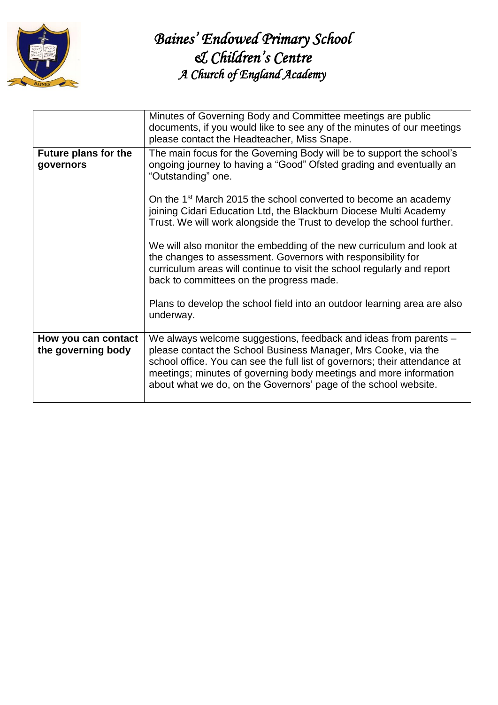

|                                           | Minutes of Governing Body and Committee meetings are public<br>documents, if you would like to see any of the minutes of our meetings<br>please contact the Headteacher, Miss Snape.                                                                                                                                                                     |  |  |
|-------------------------------------------|----------------------------------------------------------------------------------------------------------------------------------------------------------------------------------------------------------------------------------------------------------------------------------------------------------------------------------------------------------|--|--|
| <b>Future plans for the</b><br>governors  | The main focus for the Governing Body will be to support the school's<br>ongoing journey to having a "Good" Ofsted grading and eventually an<br>"Outstanding" one.                                                                                                                                                                                       |  |  |
|                                           | On the 1 <sup>st</sup> March 2015 the school converted to become an academy<br>joining Cidari Education Ltd, the Blackburn Diocese Multi Academy<br>Trust. We will work alongside the Trust to develop the school further.                                                                                                                               |  |  |
|                                           | We will also monitor the embedding of the new curriculum and look at<br>the changes to assessment. Governors with responsibility for<br>curriculum areas will continue to visit the school regularly and report<br>back to committees on the progress made.                                                                                              |  |  |
|                                           | Plans to develop the school field into an outdoor learning area are also<br>underway.                                                                                                                                                                                                                                                                    |  |  |
| How you can contact<br>the governing body | We always welcome suggestions, feedback and ideas from parents -<br>please contact the School Business Manager, Mrs Cooke, via the<br>school office. You can see the full list of governors; their attendance at<br>meetings; minutes of governing body meetings and more information<br>about what we do, on the Governors' page of the school website. |  |  |